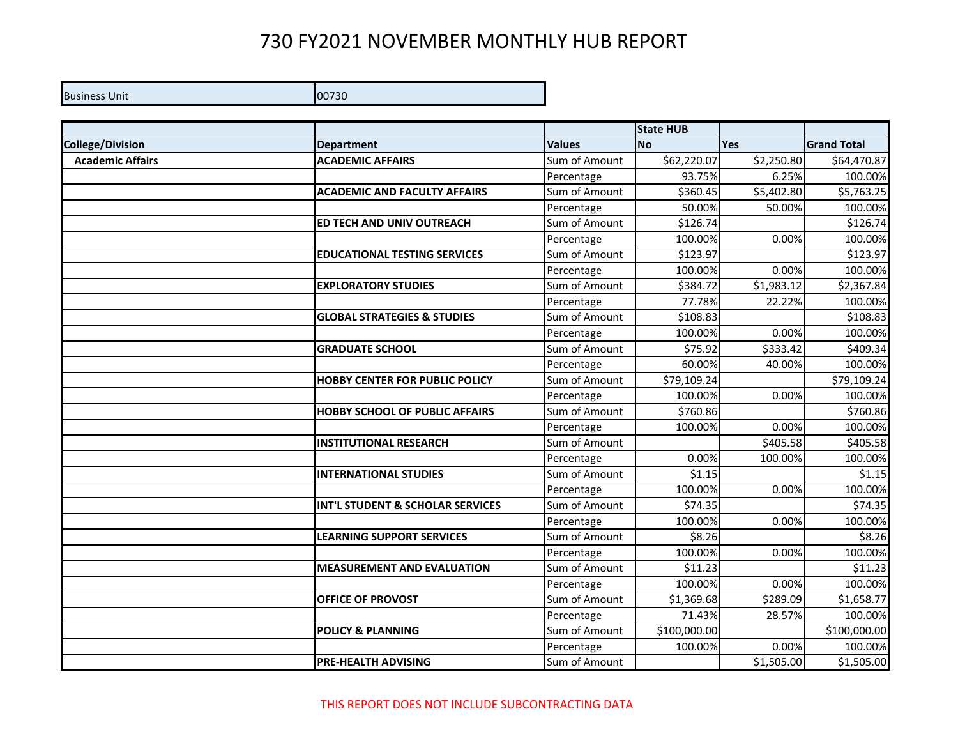## 730 FY2021 NOVEMBER MONTHLY HUB REPORT

**Business Unit 00730** 

|                         |                                        |               | <b>State HUB</b> |            |                    |
|-------------------------|----------------------------------------|---------------|------------------|------------|--------------------|
| <b>College/Division</b> | <b>Department</b>                      | <b>Values</b> | <b>No</b>        | Yes        | <b>Grand Total</b> |
| <b>Academic Affairs</b> | <b>ACADEMIC AFFAIRS</b>                | Sum of Amount | \$62,220.07      | \$2,250.80 | \$64,470.87        |
|                         |                                        | Percentage    | 93.75%           | 6.25%      | 100.00%            |
|                         | <b>ACADEMIC AND FACULTY AFFAIRS</b>    | Sum of Amount | \$360.45         | \$5,402.80 | \$5,763.25         |
|                         |                                        | Percentage    | 50.00%           | 50.00%     | 100.00%            |
|                         | <b>ED TECH AND UNIV OUTREACH</b>       | Sum of Amount | \$126.74         |            | \$126.74           |
|                         |                                        | Percentage    | 100.00%          | 0.00%      | 100.00%            |
|                         | <b>EDUCATIONAL TESTING SERVICES</b>    | Sum of Amount | \$123.97         |            | \$123.97           |
|                         |                                        | Percentage    | 100.00%          | 0.00%      | 100.00%            |
|                         | <b>EXPLORATORY STUDIES</b>             | Sum of Amount | \$384.72         | \$1,983.12 | \$2,367.84         |
|                         |                                        | Percentage    | 77.78%           | 22.22%     | 100.00%            |
|                         | <b>GLOBAL STRATEGIES &amp; STUDIES</b> | Sum of Amount | \$108.83         |            | \$108.83           |
|                         |                                        | Percentage    | 100.00%          | 0.00%      | 100.00%            |
|                         | <b>GRADUATE SCHOOL</b>                 | Sum of Amount | \$75.92          | \$333.42   | \$409.34           |
|                         |                                        | Percentage    | 60.00%           | 40.00%     | 100.00%            |
|                         | <b>HOBBY CENTER FOR PUBLIC POLICY</b>  | Sum of Amount | \$79,109.24      |            | \$79,109.24        |
|                         |                                        | Percentage    | 100.00%          | 0.00%      | 100.00%            |
|                         | <b>HOBBY SCHOOL OF PUBLIC AFFAIRS</b>  | Sum of Amount | \$760.86         |            | \$760.86           |
|                         |                                        | Percentage    | 100.00%          | 0.00%      | 100.00%            |
|                         | <b>INSTITUTIONAL RESEARCH</b>          | Sum of Amount |                  | \$405.58   | \$405.58           |
|                         |                                        | Percentage    | 0.00%            | 100.00%    | 100.00%            |
|                         | <b>INTERNATIONAL STUDIES</b>           | Sum of Amount | \$1.15           |            | \$1.15             |
|                         |                                        | Percentage    | 100.00%          | 0.00%      | 100.00%            |
|                         | INT'L STUDENT & SCHOLAR SERVICES       | Sum of Amount | \$74.35          |            | \$74.35            |
|                         |                                        | Percentage    | 100.00%          | 0.00%      | 100.00%            |
|                         | <b>LEARNING SUPPORT SERVICES</b>       | Sum of Amount | \$8.26           |            | \$8.26             |
|                         |                                        | Percentage    | 100.00%          | 0.00%      | 100.00%            |
|                         | <b>MEASUREMENT AND EVALUATION</b>      | Sum of Amount | \$11.23          |            | \$11.23            |
|                         |                                        | Percentage    | 100.00%          | 0.00%      | 100.00%            |
|                         | <b>OFFICE OF PROVOST</b>               | Sum of Amount | \$1,369.68       | \$289.09   | \$1,658.77         |
|                         |                                        | Percentage    | 71.43%           | 28.57%     | 100.00%            |
|                         | <b>POLICY &amp; PLANNING</b>           | Sum of Amount | \$100,000.00     |            | \$100,000.00       |
|                         |                                        | Percentage    | 100.00%          | 0.00%      | 100.00%            |
|                         | <b>IPRE-HEALTH ADVISING</b>            | Sum of Amount |                  | \$1,505.00 | \$1,505.00         |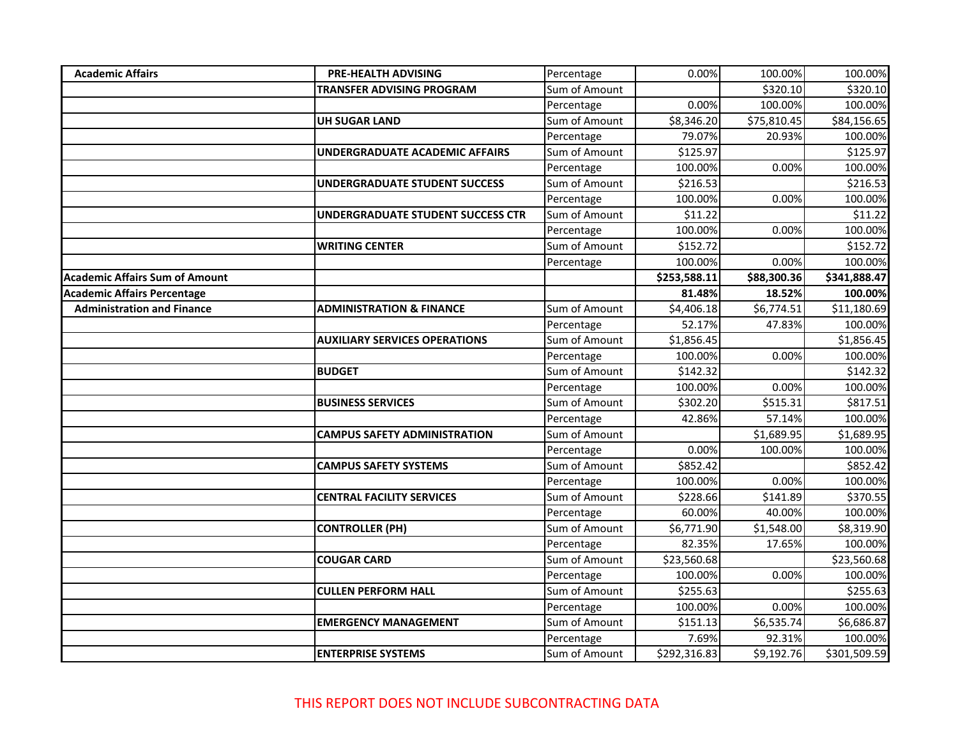| <b>Academic Affairs</b>               | <b>PRE-HEALTH ADVISING</b>           | Percentage    | 0.00%        | 100.00%     | 100.00%      |
|---------------------------------------|--------------------------------------|---------------|--------------|-------------|--------------|
|                                       | <b>TRANSFER ADVISING PROGRAM</b>     | Sum of Amount |              | \$320.10    | \$320.10     |
|                                       |                                      | Percentage    | 0.00%        | 100.00%     | 100.00%      |
|                                       | UH SUGAR LAND                        | Sum of Amount | \$8,346.20   | \$75,810.45 | \$84,156.65  |
|                                       |                                      | Percentage    | 79.07%       | 20.93%      | 100.00%      |
|                                       | UNDERGRADUATE ACADEMIC AFFAIRS       | Sum of Amount | \$125.97     |             | \$125.97     |
|                                       |                                      | Percentage    | 100.00%      | 0.00%       | 100.00%      |
|                                       | <b>UNDERGRADUATE STUDENT SUCCESS</b> | Sum of Amount | \$216.53     |             | \$216.53     |
|                                       |                                      | Percentage    | 100.00%      | 0.00%       | 100.00%      |
|                                       | UNDERGRADUATE STUDENT SUCCESS CTR    | Sum of Amount | \$11.22      |             | \$11.22      |
|                                       |                                      | Percentage    | 100.00%      | 0.00%       | 100.00%      |
|                                       | <b>WRITING CENTER</b>                | Sum of Amount | \$152.72     |             | \$152.72     |
|                                       |                                      | Percentage    | 100.00%      | 0.00%       | 100.00%      |
| <b>Academic Affairs Sum of Amount</b> |                                      |               | \$253,588.11 | \$88,300.36 | \$341,888.47 |
| <b>Academic Affairs Percentage</b>    |                                      |               | 81.48%       | 18.52%      | 100.00%      |
| <b>Administration and Finance</b>     | <b>ADMINISTRATION &amp; FINANCE</b>  | Sum of Amount | \$4,406.18   | \$6,774.51  | \$11,180.69  |
|                                       |                                      | Percentage    | 52.17%       | 47.83%      | 100.00%      |
|                                       | <b>AUXILIARY SERVICES OPERATIONS</b> | Sum of Amount | \$1,856.45   |             | \$1,856.45   |
|                                       |                                      | Percentage    | 100.00%      | 0.00%       | 100.00%      |
|                                       | <b>BUDGET</b>                        | Sum of Amount | \$142.32     |             | \$142.32     |
|                                       |                                      | Percentage    | 100.00%      | 0.00%       | 100.00%      |
|                                       | <b>BUSINESS SERVICES</b>             | Sum of Amount | \$302.20     | \$515.31    | \$817.51     |
|                                       |                                      | Percentage    | 42.86%       | 57.14%      | 100.00%      |
|                                       | <b>CAMPUS SAFETY ADMINISTRATION</b>  | Sum of Amount |              | \$1,689.95  | \$1,689.95   |
|                                       |                                      | Percentage    | 0.00%        | 100.00%     | 100.00%      |
|                                       | <b>CAMPUS SAFETY SYSTEMS</b>         | Sum of Amount | \$852.42     |             | \$852.42     |
|                                       |                                      | Percentage    | 100.00%      | 0.00%       | 100.00%      |
|                                       | <b>CENTRAL FACILITY SERVICES</b>     | Sum of Amount | \$228.66     | \$141.89    | \$370.55     |
|                                       |                                      | Percentage    | 60.00%       | 40.00%      | 100.00%      |
|                                       | <b>CONTROLLER (PH)</b>               | Sum of Amount | \$6,771.90   | \$1,548.00  | \$8,319.90   |
|                                       |                                      | Percentage    | 82.35%       | 17.65%      | 100.00%      |
|                                       | <b>COUGAR CARD</b>                   | Sum of Amount | \$23,560.68  |             | \$23,560.68  |
|                                       |                                      | Percentage    | 100.00%      | 0.00%       | 100.00%      |
|                                       | <b>CULLEN PERFORM HALL</b>           | Sum of Amount | \$255.63     |             | \$255.63     |
|                                       |                                      | Percentage    | 100.00%      | 0.00%       | 100.00%      |
|                                       | <b>EMERGENCY MANAGEMENT</b>          | Sum of Amount | \$151.13     | \$6,535.74  | \$6,686.87   |
|                                       |                                      | Percentage    | 7.69%        | 92.31%      | 100.00%      |
|                                       | <b>ENTERPRISE SYSTEMS</b>            | Sum of Amount | \$292,316.83 | \$9,192.76  | \$301,509.59 |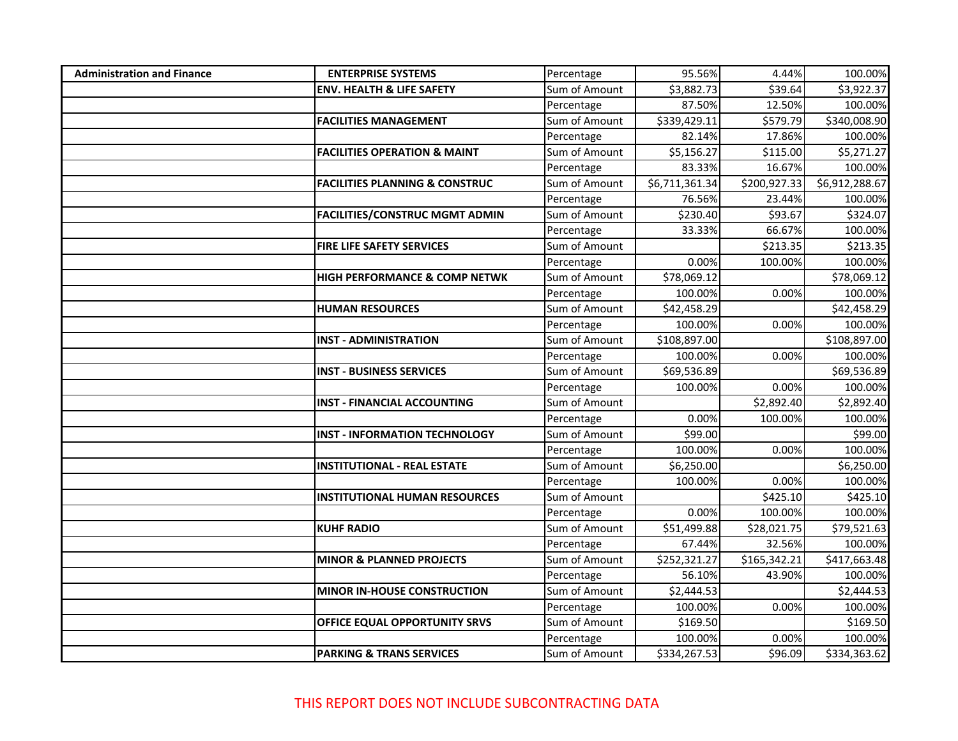| <b>Administration and Finance</b> | <b>ENTERPRISE SYSTEMS</b>                 | Percentage    | 95.56%         | 4.44%        | 100.00%        |
|-----------------------------------|-------------------------------------------|---------------|----------------|--------------|----------------|
|                                   | <b>ENV. HEALTH &amp; LIFE SAFETY</b>      | Sum of Amount | \$3,882.73     | \$39.64      | \$3,922.37     |
|                                   |                                           | Percentage    | 87.50%         | 12.50%       | 100.00%        |
|                                   | <b>FACILITIES MANAGEMENT</b>              | Sum of Amount | \$339,429.11   | \$579.79     | \$340,008.90   |
|                                   |                                           | Percentage    | 82.14%         | 17.86%       | 100.00%        |
|                                   | <b>FACILITIES OPERATION &amp; MAINT</b>   | Sum of Amount | \$5,156.27     | \$115.00     | \$5,271.27     |
|                                   |                                           | Percentage    | 83.33%         | 16.67%       | 100.00%        |
|                                   | <b>FACILITIES PLANNING &amp; CONSTRUC</b> | Sum of Amount | \$6,711,361.34 | \$200,927.33 | \$6,912,288.67 |
|                                   |                                           | Percentage    | 76.56%         | 23.44%       | 100.00%        |
|                                   | <b>FACILITIES/CONSTRUC MGMT ADMIN</b>     | Sum of Amount | \$230.40       | \$93.67      | \$324.07       |
|                                   |                                           | Percentage    | 33.33%         | 66.67%       | 100.00%        |
|                                   | <b>FIRE LIFE SAFETY SERVICES</b>          | Sum of Amount |                | \$213.35     | \$213.35       |
|                                   |                                           | Percentage    | 0.00%          | 100.00%      | 100.00%        |
|                                   | <b>HIGH PERFORMANCE &amp; COMP NETWK</b>  | Sum of Amount | \$78,069.12    |              | \$78,069.12    |
|                                   |                                           | Percentage    | 100.00%        | 0.00%        | 100.00%        |
|                                   | <b>HUMAN RESOURCES</b>                    | Sum of Amount | \$42,458.29    |              | \$42,458.29    |
|                                   |                                           | Percentage    | 100.00%        | 0.00%        | 100.00%        |
|                                   | <b>INST - ADMINISTRATION</b>              | Sum of Amount | \$108,897.00   |              | \$108,897.00   |
|                                   |                                           | Percentage    | 100.00%        | 0.00%        | 100.00%        |
|                                   | <b>INST - BUSINESS SERVICES</b>           | Sum of Amount | \$69,536.89    |              | \$69,536.89    |
|                                   |                                           | Percentage    | 100.00%        | 0.00%        | 100.00%        |
|                                   | <b>INST - FINANCIAL ACCOUNTING</b>        | Sum of Amount |                | \$2,892.40   | \$2,892.40     |
|                                   |                                           | Percentage    | 0.00%          | 100.00%      | 100.00%        |
|                                   | <b>INST - INFORMATION TECHNOLOGY</b>      | Sum of Amount | \$99.00        |              | \$99.00        |
|                                   |                                           | Percentage    | 100.00%        | 0.00%        | 100.00%        |
|                                   | <b>INSTITUTIONAL - REAL ESTATE</b>        | Sum of Amount | \$6,250.00     |              | \$6,250.00     |
|                                   |                                           | Percentage    | 100.00%        | 0.00%        | 100.00%        |
|                                   | <b>INSTITUTIONAL HUMAN RESOURCES</b>      | Sum of Amount |                | \$425.10     | \$425.10       |
|                                   |                                           | Percentage    | 0.00%          | 100.00%      | 100.00%        |
|                                   | <b>KUHF RADIO</b>                         | Sum of Amount | \$51,499.88    | \$28,021.75  | \$79,521.63    |
|                                   |                                           | Percentage    | 67.44%         | 32.56%       | 100.00%        |
|                                   | <b>MINOR &amp; PLANNED PROJECTS</b>       | Sum of Amount | \$252,321.27   | \$165,342.21 | \$417,663.48   |
|                                   |                                           | Percentage    | 56.10%         | 43.90%       | 100.00%        |
|                                   | MINOR IN-HOUSE CONSTRUCTION               | Sum of Amount | \$2,444.53     |              | \$2,444.53     |
|                                   |                                           | Percentage    | 100.00%        | 0.00%        | 100.00%        |
|                                   | OFFICE EQUAL OPPORTUNITY SRVS             | Sum of Amount | \$169.50       |              | \$169.50       |
|                                   |                                           | Percentage    | 100.00%        | 0.00%        | 100.00%        |
|                                   | <b>PARKING &amp; TRANS SERVICES</b>       | Sum of Amount | \$334,267.53   | \$96.09      | \$334,363.62   |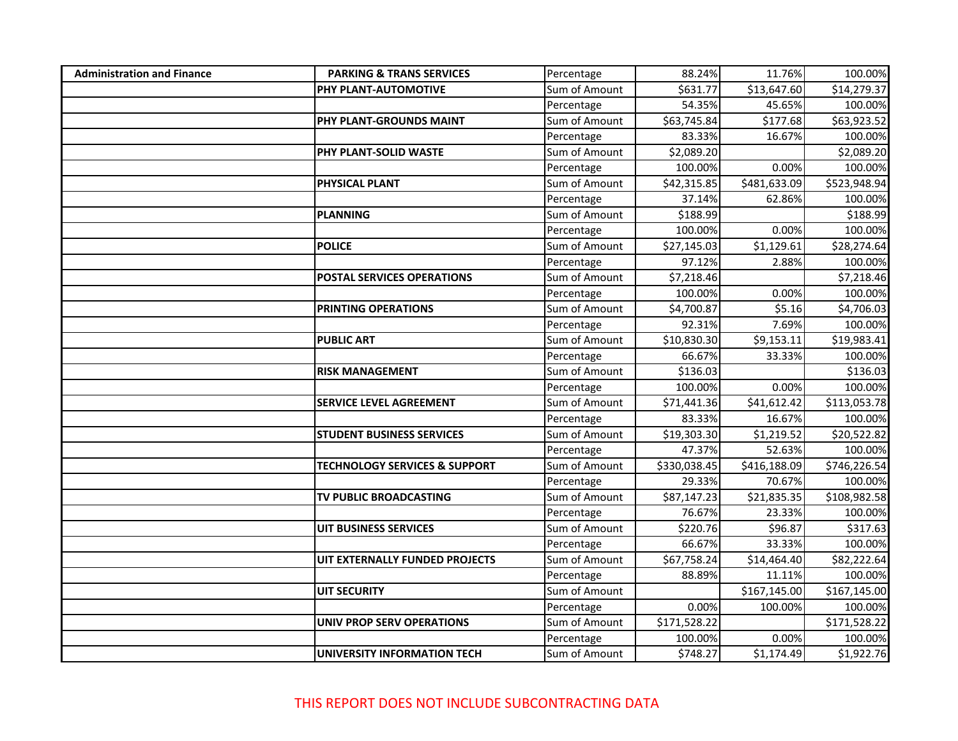| <b>Administration and Finance</b> | <b>PARKING &amp; TRANS SERVICES</b>      | Percentage    | 88.24%       | 11.76%       | 100.00%      |
|-----------------------------------|------------------------------------------|---------------|--------------|--------------|--------------|
|                                   | PHY PLANT-AUTOMOTIVE                     | Sum of Amount | \$631.77     | \$13,647.60  | \$14,279.37  |
|                                   |                                          | Percentage    | 54.35%       | 45.65%       | 100.00%      |
|                                   | PHY PLANT-GROUNDS MAINT                  | Sum of Amount | \$63,745.84  | \$177.68     | \$63,923.52  |
|                                   |                                          | Percentage    | 83.33%       | 16.67%       | 100.00%      |
|                                   | <b>PHY PLANT-SOLID WASTE</b>             | Sum of Amount | \$2,089.20   |              | \$2,089.20   |
|                                   |                                          | Percentage    | 100.00%      | 0.00%        | 100.00%      |
|                                   | <b>PHYSICAL PLANT</b>                    | Sum of Amount | \$42,315.85  | \$481,633.09 | \$523,948.94 |
|                                   |                                          | Percentage    | 37.14%       | 62.86%       | 100.00%      |
|                                   | PLANNING                                 | Sum of Amount | \$188.99     |              | \$188.99     |
|                                   |                                          | Percentage    | 100.00%      | 0.00%        | 100.00%      |
|                                   | <b>POLICE</b>                            | Sum of Amount | \$27,145.03  | \$1,129.61   | \$28,274.64  |
|                                   |                                          | Percentage    | 97.12%       | 2.88%        | 100.00%      |
|                                   | <b>POSTAL SERVICES OPERATIONS</b>        | Sum of Amount | \$7,218.46   |              | \$7,218.46   |
|                                   |                                          | Percentage    | 100.00%      | 0.00%        | 100.00%      |
|                                   | <b>PRINTING OPERATIONS</b>               | Sum of Amount | \$4,700.87   | \$5.16       | \$4,706.03   |
|                                   |                                          | Percentage    | 92.31%       | 7.69%        | 100.00%      |
|                                   | <b>PUBLIC ART</b>                        | Sum of Amount | \$10,830.30  | \$9,153.11   | \$19,983.41  |
|                                   |                                          | Percentage    | 66.67%       | 33.33%       | 100.00%      |
|                                   | <b>RISK MANAGEMENT</b>                   | Sum of Amount | \$136.03     |              | \$136.03     |
|                                   |                                          | Percentage    | 100.00%      | 0.00%        | 100.00%      |
|                                   | <b>SERVICE LEVEL AGREEMENT</b>           | Sum of Amount | \$71,441.36  | \$41,612.42  | \$113,053.78 |
|                                   |                                          | Percentage    | 83.33%       | 16.67%       | 100.00%      |
|                                   | <b>STUDENT BUSINESS SERVICES</b>         | Sum of Amount | \$19,303.30  | \$1,219.52   | \$20,522.82  |
|                                   |                                          | Percentage    | 47.37%       | 52.63%       | 100.00%      |
|                                   | <b>TECHNOLOGY SERVICES &amp; SUPPORT</b> | Sum of Amount | \$330,038.45 | \$416,188.09 | \$746,226.54 |
|                                   |                                          | Percentage    | 29.33%       | 70.67%       | 100.00%      |
|                                   | TV PUBLIC BROADCASTING                   | Sum of Amount | \$87,147.23  | \$21,835.35  | \$108,982.58 |
|                                   |                                          | Percentage    | 76.67%       | 23.33%       | 100.00%      |
|                                   | UIT BUSINESS SERVICES                    | Sum of Amount | \$220.76     | \$96.87      | \$317.63     |
|                                   |                                          | Percentage    | 66.67%       | 33.33%       | 100.00%      |
|                                   | UIT EXTERNALLY FUNDED PROJECTS           | Sum of Amount | \$67,758.24  | \$14,464.40  | \$82,222.64  |
|                                   |                                          | Percentage    | 88.89%       | 11.11%       | 100.00%      |
|                                   | UIT SECURITY                             | Sum of Amount |              | \$167,145.00 | \$167,145.00 |
|                                   |                                          | Percentage    | 0.00%        | 100.00%      | 100.00%      |
|                                   | UNIV PROP SERV OPERATIONS                | Sum of Amount | \$171,528.22 |              | \$171,528.22 |
|                                   |                                          | Percentage    | 100.00%      | 0.00%        | 100.00%      |
|                                   | UNIVERSITY INFORMATION TECH              | Sum of Amount | \$748.27     | \$1,174.49   | \$1,922.76   |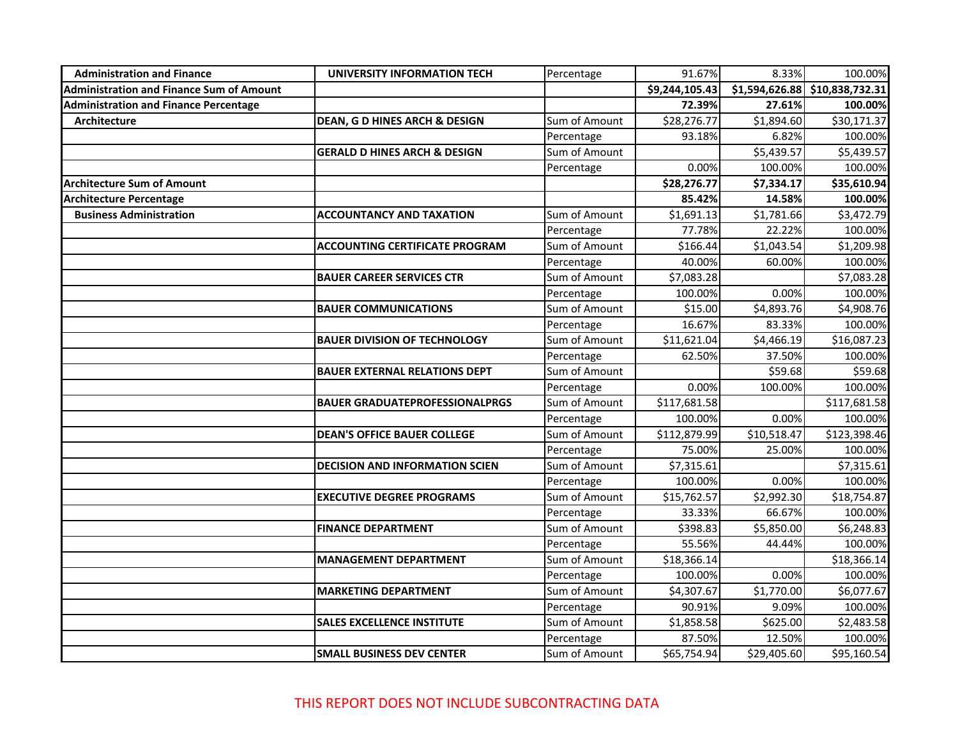| <b>Administration and Finance</b>               | UNIVERSITY INFORMATION TECH             | Percentage    | 91.67%         | 8.33%       | 100.00%                        |
|-------------------------------------------------|-----------------------------------------|---------------|----------------|-------------|--------------------------------|
| <b>Administration and Finance Sum of Amount</b> |                                         |               | \$9,244,105.43 |             | \$1,594,626.88 \$10,838,732.31 |
| <b>Administration and Finance Percentage</b>    |                                         |               | 72.39%         | 27.61%      | 100.00%                        |
| <b>Architecture</b>                             | DEAN, G D HINES ARCH & DESIGN           | Sum of Amount | \$28,276.77    | \$1,894.60  | \$30,171.37                    |
|                                                 |                                         | Percentage    | 93.18%         | 6.82%       | 100.00%                        |
|                                                 | <b>GERALD D HINES ARCH &amp; DESIGN</b> | Sum of Amount |                | \$5,439.57  | \$5,439.57                     |
|                                                 |                                         | Percentage    | 0.00%          | 100.00%     | 100.00%                        |
| <b>Architecture Sum of Amount</b>               |                                         |               | \$28,276.77    | \$7,334.17  | \$35,610.94                    |
| <b>Architecture Percentage</b>                  |                                         |               | 85.42%         | 14.58%      | 100.00%                        |
| <b>Business Administration</b>                  | <b>ACCOUNTANCY AND TAXATION</b>         | Sum of Amount | \$1,691.13     | \$1,781.66  | \$3,472.79                     |
|                                                 |                                         | Percentage    | 77.78%         | 22.22%      | 100.00%                        |
|                                                 | <b>ACCOUNTING CERTIFICATE PROGRAM</b>   | Sum of Amount | \$166.44       | \$1,043.54  | \$1,209.98                     |
|                                                 |                                         | Percentage    | 40.00%         | 60.00%      | 100.00%                        |
|                                                 | <b>BAUER CAREER SERVICES CTR</b>        | Sum of Amount | \$7,083.28     |             | \$7,083.28                     |
|                                                 |                                         | Percentage    | 100.00%        | 0.00%       | 100.00%                        |
|                                                 | <b>BAUER COMMUNICATIONS</b>             | Sum of Amount | \$15.00        | \$4,893.76  | \$4,908.76                     |
|                                                 |                                         | Percentage    | 16.67%         | 83.33%      | 100.00%                        |
|                                                 | <b>BAUER DIVISION OF TECHNOLOGY</b>     | Sum of Amount | \$11,621.04    | \$4,466.19  | \$16,087.23                    |
|                                                 |                                         | Percentage    | 62.50%         | 37.50%      | 100.00%                        |
|                                                 | <b>BAUER EXTERNAL RELATIONS DEPT</b>    | Sum of Amount |                | \$59.68     | \$59.68                        |
|                                                 |                                         | Percentage    | 0.00%          | 100.00%     | 100.00%                        |
|                                                 | <b>BAUER GRADUATEPROFESSIONALPRGS</b>   | Sum of Amount | \$117,681.58   |             | \$117,681.58                   |
|                                                 |                                         | Percentage    | 100.00%        | 0.00%       | 100.00%                        |
|                                                 | <b>DEAN'S OFFICE BAUER COLLEGE</b>      | Sum of Amount | \$112,879.99   | \$10,518.47 | \$123,398.46                   |
|                                                 |                                         | Percentage    | 75.00%         | 25.00%      | 100.00%                        |
|                                                 | <b>DECISION AND INFORMATION SCIEN</b>   | Sum of Amount | \$7,315.61     |             | \$7,315.61                     |
|                                                 |                                         | Percentage    | 100.00%        | 0.00%       | 100.00%                        |
|                                                 | <b>EXECUTIVE DEGREE PROGRAMS</b>        | Sum of Amount | \$15,762.57    | \$2,992.30  | \$18,754.87                    |
|                                                 |                                         | Percentage    | 33.33%         | 66.67%      | 100.00%                        |
|                                                 | <b>FINANCE DEPARTMENT</b>               | Sum of Amount | \$398.83       | \$5,850.00  | \$6,248.83                     |
|                                                 |                                         | Percentage    | 55.56%         | 44.44%      | 100.00%                        |
|                                                 | <b>MANAGEMENT DEPARTMENT</b>            | Sum of Amount | \$18,366.14    |             | \$18,366.14                    |
|                                                 |                                         | Percentage    | 100.00%        | 0.00%       | 100.00%                        |
|                                                 | <b>MARKETING DEPARTMENT</b>             | Sum of Amount | \$4,307.67     | \$1,770.00  | \$6,077.67                     |
|                                                 |                                         | Percentage    | 90.91%         | 9.09%       | 100.00%                        |
|                                                 | <b>SALES EXCELLENCE INSTITUTE</b>       | Sum of Amount | \$1,858.58     | \$625.00    | \$2,483.58                     |
|                                                 |                                         | Percentage    | 87.50%         | 12.50%      | 100.00%                        |
|                                                 | <b>SMALL BUSINESS DEV CENTER</b>        | Sum of Amount | \$65,754.94    | \$29,405.60 | \$95,160.54                    |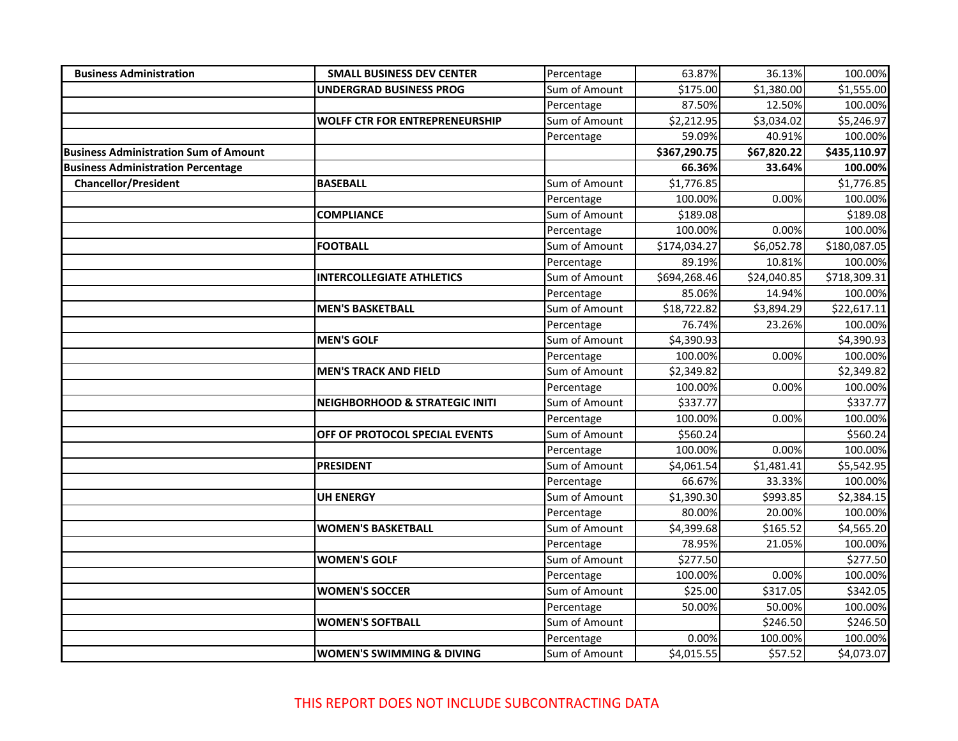| <b>Business Administration</b>               | <b>SMALL BUSINESS DEV CENTER</b>          | Percentage    | 63.87%       | 36.13%      | 100.00%      |
|----------------------------------------------|-------------------------------------------|---------------|--------------|-------------|--------------|
|                                              | <b>UNDERGRAD BUSINESS PROG</b>            | Sum of Amount | \$175.00     | \$1,380.00  | \$1,555.00   |
|                                              |                                           | Percentage    | 87.50%       | 12.50%      | 100.00%      |
|                                              | <b>WOLFF CTR FOR ENTREPRENEURSHIP</b>     | Sum of Amount | \$2,212.95   | \$3,034.02  | \$5,246.97   |
|                                              |                                           | Percentage    | 59.09%       | 40.91%      | 100.00%      |
| <b>Business Administration Sum of Amount</b> |                                           |               | \$367,290.75 | \$67,820.22 | \$435,110.97 |
| <b>Business Administration Percentage</b>    |                                           |               | 66.36%       | 33.64%      | 100.00%      |
| <b>Chancellor/President</b>                  | <b>BASEBALL</b>                           | Sum of Amount | \$1,776.85   |             | \$1,776.85   |
|                                              |                                           | Percentage    | 100.00%      | 0.00%       | 100.00%      |
|                                              | <b>COMPLIANCE</b>                         | Sum of Amount | \$189.08     |             | \$189.08     |
|                                              |                                           | Percentage    | 100.00%      | 0.00%       | 100.00%      |
|                                              | <b>FOOTBALL</b>                           | Sum of Amount | \$174,034.27 | \$6,052.78  | \$180,087.05 |
|                                              |                                           | Percentage    | 89.19%       | 10.81%      | 100.00%      |
|                                              | <b>INTERCOLLEGIATE ATHLETICS</b>          | Sum of Amount | \$694,268.46 | \$24,040.85 | \$718,309.31 |
|                                              |                                           | Percentage    | 85.06%       | 14.94%      | 100.00%      |
|                                              | <b>MEN'S BASKETBALL</b>                   | Sum of Amount | \$18,722.82  | \$3,894.29  | \$22,617.11  |
|                                              |                                           | Percentage    | 76.74%       | 23.26%      | 100.00%      |
|                                              | <b>MEN'S GOLF</b>                         | Sum of Amount | \$4,390.93   |             | \$4,390.93   |
|                                              |                                           | Percentage    | 100.00%      | 0.00%       | 100.00%      |
|                                              | <b>MEN'S TRACK AND FIELD</b>              | Sum of Amount | \$2,349.82   |             | \$2,349.82   |
|                                              |                                           | Percentage    | 100.00%      | 0.00%       | 100.00%      |
|                                              | <b>NEIGHBORHOOD &amp; STRATEGIC INITI</b> | Sum of Amount | \$337.77     |             | \$337.77     |
|                                              |                                           | Percentage    | 100.00%      | 0.00%       | 100.00%      |
|                                              | OFF OF PROTOCOL SPECIAL EVENTS            | Sum of Amount | \$560.24     |             | \$560.24     |
|                                              |                                           | Percentage    | 100.00%      | 0.00%       | 100.00%      |
|                                              | <b>PRESIDENT</b>                          | Sum of Amount | \$4,061.54   | \$1,481.41  | \$5,542.95   |
|                                              |                                           | Percentage    | 66.67%       | 33.33%      | 100.00%      |
|                                              | <b>UH ENERGY</b>                          | Sum of Amount | \$1,390.30   | \$993.85    | \$2,384.15   |
|                                              |                                           | Percentage    | 80.00%       | 20.00%      | 100.00%      |
|                                              | <b>WOMEN'S BASKETBALL</b>                 | Sum of Amount | \$4,399.68   | \$165.52    | \$4,565.20   |
|                                              |                                           | Percentage    | 78.95%       | 21.05%      | 100.00%      |
|                                              | <b>WOMEN'S GOLF</b>                       | Sum of Amount | \$277.50     |             | \$277.50     |
|                                              |                                           | Percentage    | 100.00%      | 0.00%       | 100.00%      |
|                                              | <b>WOMEN'S SOCCER</b>                     | Sum of Amount | \$25.00      | \$317.05    | \$342.05     |
|                                              |                                           | Percentage    | 50.00%       | 50.00%      | 100.00%      |
|                                              | <b>WOMEN'S SOFTBALL</b>                   | Sum of Amount |              | \$246.50    | \$246.50     |
|                                              |                                           | Percentage    | 0.00%        | 100.00%     | 100.00%      |
|                                              | <b>WOMEN'S SWIMMING &amp; DIVING</b>      | Sum of Amount | \$4,015.55   | \$57.52     | \$4,073.07   |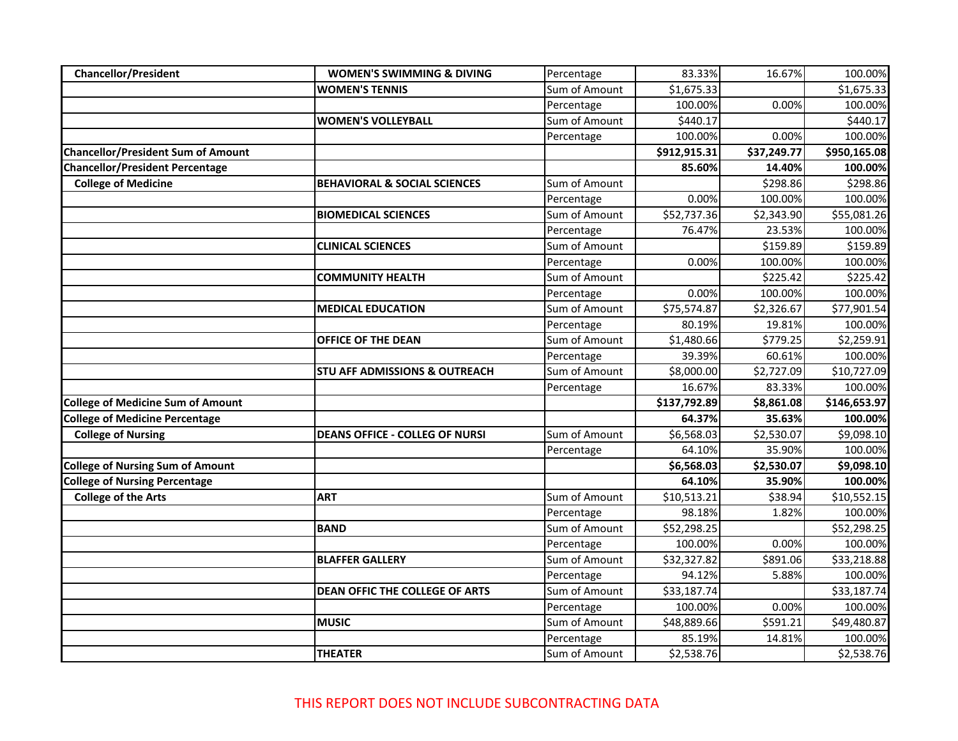| <b>Chancellor/President</b>               | <b>WOMEN'S SWIMMING &amp; DIVING</b>     | Percentage    | 83.33%       | 16.67%      | 100.00%      |
|-------------------------------------------|------------------------------------------|---------------|--------------|-------------|--------------|
|                                           | <b>WOMEN'S TENNIS</b>                    | Sum of Amount | \$1,675.33   |             | \$1,675.33   |
|                                           |                                          | Percentage    | 100.00%      | 0.00%       | 100.00%      |
|                                           | <b>WOMEN'S VOLLEYBALL</b>                | Sum of Amount | \$440.17     |             | \$440.17     |
|                                           |                                          | Percentage    | 100.00%      | 0.00%       | 100.00%      |
| <b>Chancellor/President Sum of Amount</b> |                                          |               | \$912,915.31 | \$37,249.77 | \$950,165.08 |
| <b>Chancellor/President Percentage</b>    |                                          |               | 85.60%       | 14.40%      | 100.00%      |
| <b>College of Medicine</b>                | <b>BEHAVIORAL &amp; SOCIAL SCIENCES</b>  | Sum of Amount |              | \$298.86    | \$298.86     |
|                                           |                                          | Percentage    | 0.00%        | 100.00%     | 100.00%      |
|                                           | <b>BIOMEDICAL SCIENCES</b>               | Sum of Amount | \$52,737.36  | \$2,343.90  | \$55,081.26  |
|                                           |                                          | Percentage    | 76.47%       | 23.53%      | 100.00%      |
|                                           | <b>CLINICAL SCIENCES</b>                 | Sum of Amount |              | \$159.89    | \$159.89     |
|                                           |                                          | Percentage    | 0.00%        | 100.00%     | 100.00%      |
|                                           | <b>COMMUNITY HEALTH</b>                  | Sum of Amount |              | \$225.42    | \$225.42     |
|                                           |                                          | Percentage    | 0.00%        | 100.00%     | 100.00%      |
|                                           | <b>MEDICAL EDUCATION</b>                 | Sum of Amount | \$75,574.87  | \$2,326.67  | \$77,901.54  |
|                                           |                                          | Percentage    | 80.19%       | 19.81%      | 100.00%      |
|                                           | <b>OFFICE OF THE DEAN</b>                | Sum of Amount | \$1,480.66   | \$779.25    | \$2,259.91   |
|                                           |                                          | Percentage    | 39.39%       | 60.61%      | 100.00%      |
|                                           | <b>STU AFF ADMISSIONS &amp; OUTREACH</b> | Sum of Amount | \$8,000.00   | \$2,727.09  | \$10,727.09  |
|                                           |                                          | Percentage    | 16.67%       | 83.33%      | 100.00%      |
| <b>College of Medicine Sum of Amount</b>  |                                          |               | \$137,792.89 | \$8,861.08  | \$146,653.97 |
| <b>College of Medicine Percentage</b>     |                                          |               | 64.37%       | 35.63%      | 100.00%      |
| <b>College of Nursing</b>                 | <b>DEANS OFFICE - COLLEG OF NURSI</b>    | Sum of Amount | \$6,568.03   | \$2,530.07  | \$9,098.10   |
|                                           |                                          | Percentage    | 64.10%       | 35.90%      | 100.00%      |
| <b>College of Nursing Sum of Amount</b>   |                                          |               | \$6,568.03   | \$2,530.07  | \$9,098.10   |
| <b>College of Nursing Percentage</b>      |                                          |               | 64.10%       | 35.90%      | 100.00%      |
| <b>College of the Arts</b>                | <b>ART</b>                               | Sum of Amount | \$10,513.21  | \$38.94     | \$10,552.15  |
|                                           |                                          | Percentage    | 98.18%       | 1.82%       | 100.00%      |
|                                           | <b>BAND</b>                              | Sum of Amount | \$52,298.25  |             | \$52,298.25  |
|                                           |                                          | Percentage    | 100.00%      | 0.00%       | 100.00%      |
|                                           | <b>BLAFFER GALLERY</b>                   | Sum of Amount | \$32,327.82  | \$891.06    | \$33,218.88  |
|                                           |                                          | Percentage    | 94.12%       | 5.88%       | 100.00%      |
|                                           | <b>DEAN OFFIC THE COLLEGE OF ARTS</b>    | Sum of Amount | \$33,187.74  |             | \$33,187.74  |
|                                           |                                          | Percentage    | 100.00%      | 0.00%       | 100.00%      |
|                                           | <b>MUSIC</b>                             | Sum of Amount | \$48,889.66  | \$591.21    | \$49,480.87  |
|                                           |                                          | Percentage    | 85.19%       | 14.81%      | 100.00%      |
|                                           | <b>THEATER</b>                           | Sum of Amount | \$2,538.76   |             | \$2,538.76   |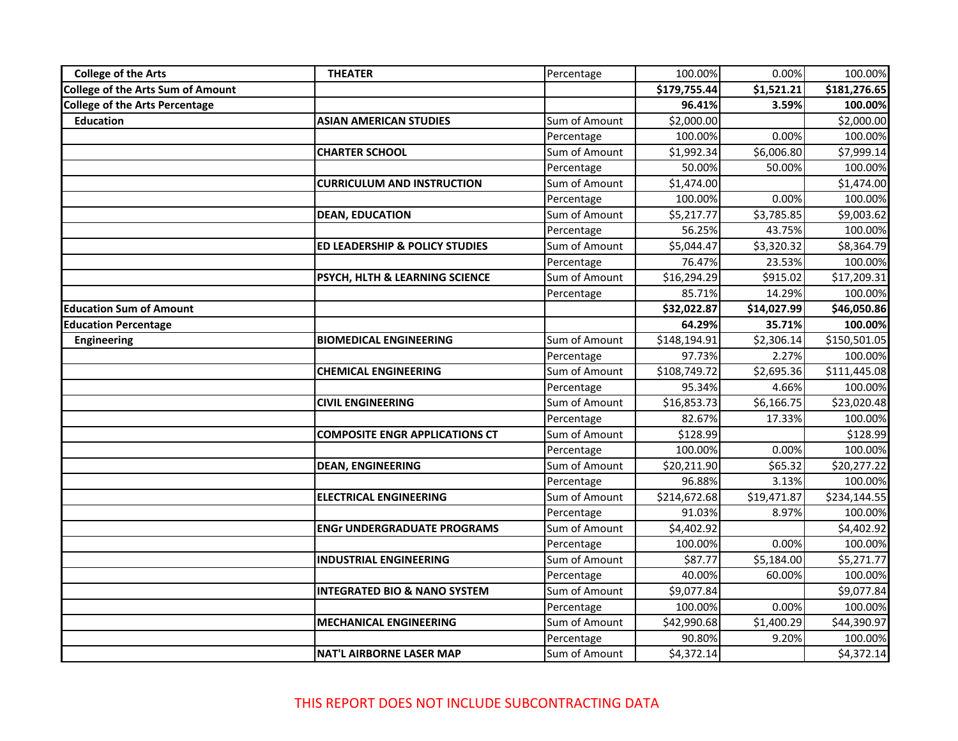| <b>College of the Arts</b>               | <b>THEATER</b>                          | Percentage    | 100.00%      | 0.00%       | 100.00%      |
|------------------------------------------|-----------------------------------------|---------------|--------------|-------------|--------------|
| <b>College of the Arts Sum of Amount</b> |                                         |               | \$179,755.44 | \$1,521.21  | \$181,276.65 |
| <b>College of the Arts Percentage</b>    |                                         |               | 96.41%       | 3.59%       | 100.00%      |
| <b>Education</b>                         | <b>ASIAN AMERICAN STUDIES</b>           | Sum of Amount | \$2,000.00   |             | \$2,000.00   |
|                                          |                                         | Percentage    | 100.00%      | 0.00%       | 100.00%      |
|                                          | <b>CHARTER SCHOOL</b>                   | Sum of Amount | \$1,992.34   | \$6,006.80  | \$7,999.14   |
|                                          |                                         | Percentage    | 50.00%       | 50.00%      | 100.00%      |
|                                          | <b>CURRICULUM AND INSTRUCTION</b>       | Sum of Amount | \$1,474.00   |             | \$1,474.00   |
|                                          |                                         | Percentage    | 100.00%      | 0.00%       | 100.00%      |
|                                          | <b>DEAN, EDUCATION</b>                  | Sum of Amount | \$5,217.77   | \$3,785.85  | \$9,003.62   |
|                                          |                                         | Percentage    | 56.25%       | 43.75%      | 100.00%      |
|                                          | ED LEADERSHIP & POLICY STUDIES          | Sum of Amount | \$5,044.47   | \$3,320.32  | \$8,364.79   |
|                                          |                                         | Percentage    | 76.47%       | 23.53%      | 100.00%      |
|                                          | PSYCH, HLTH & LEARNING SCIENCE          | Sum of Amount | \$16,294.29  | \$915.02    | \$17,209.31  |
|                                          |                                         | Percentage    | 85.71%       | 14.29%      | 100.00%      |
| <b>Education Sum of Amount</b>           |                                         |               | \$32,022.87  | \$14,027.99 | \$46,050.86  |
| <b>Education Percentage</b>              |                                         |               | 64.29%       | 35.71%      | 100.00%      |
| <b>Engineering</b>                       | <b>BIOMEDICAL ENGINEERING</b>           | Sum of Amount | \$148,194.91 | \$2,306.14  | \$150,501.05 |
|                                          |                                         | Percentage    | 97.73%       | 2.27%       | 100.00%      |
|                                          | <b>CHEMICAL ENGINEERING</b>             | Sum of Amount | \$108,749.72 | \$2,695.36  | \$111,445.08 |
|                                          |                                         | Percentage    | 95.34%       | 4.66%       | 100.00%      |
|                                          | <b>CIVIL ENGINEERING</b>                | Sum of Amount | \$16,853.73  | \$6,166.75  | \$23,020.48  |
|                                          |                                         | Percentage    | 82.67%       | 17.33%      | 100.00%      |
|                                          | <b>COMPOSITE ENGR APPLICATIONS CT</b>   | Sum of Amount | \$128.99     |             | \$128.99     |
|                                          |                                         | Percentage    | 100.00%      | 0.00%       | 100.00%      |
|                                          | <b>DEAN, ENGINEERING</b>                | Sum of Amount | \$20,211.90  | \$65.32     | \$20,277.22  |
|                                          |                                         | Percentage    | 96.88%       | 3.13%       | 100.00%      |
|                                          | <b>ELECTRICAL ENGINEERING</b>           | Sum of Amount | \$214,672.68 | \$19,471.87 | \$234,144.55 |
|                                          |                                         | Percentage    | 91.03%       | 8.97%       | 100.00%      |
|                                          | <b>ENGr UNDERGRADUATE PROGRAMS</b>      | Sum of Amount | \$4,402.92   |             | \$4,402.92   |
|                                          |                                         | Percentage    | 100.00%      | 0.00%       | 100.00%      |
|                                          | <b>INDUSTRIAL ENGINEERING</b>           | Sum of Amount | \$87.77      | \$5,184.00  | \$5,271.77   |
|                                          |                                         | Percentage    | 40.00%       | 60.00%      | 100.00%      |
|                                          | <b>INTEGRATED BIO &amp; NANO SYSTEM</b> | Sum of Amount | \$9,077.84   |             | \$9,077.84   |
|                                          |                                         | Percentage    | 100.00%      | 0.00%       | 100.00%      |
|                                          | <b>MECHANICAL ENGINEERING</b>           | Sum of Amount | \$42,990.68  | \$1,400.29  | \$44,390.97  |
|                                          |                                         | Percentage    | 90.80%       | 9.20%       | 100.00%      |
|                                          | <b>NAT'L AIRBORNE LASER MAP</b>         | Sum of Amount | \$4,372.14   |             | \$4,372.14   |

THIS REPORT DOES NOT INCLUDE SUBCONTRACTING DATA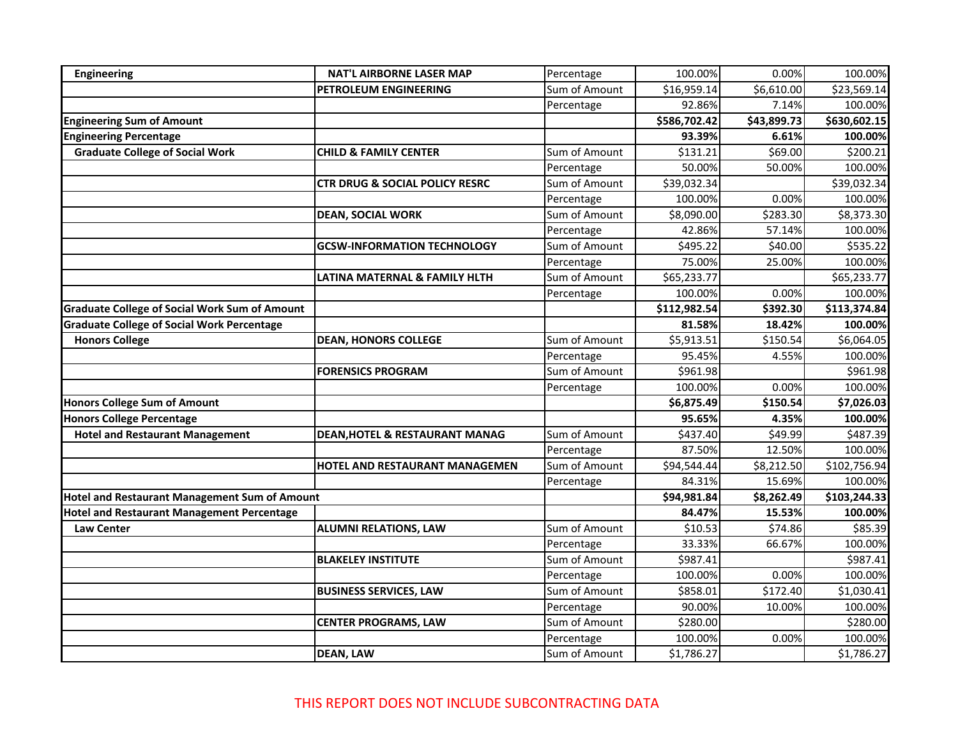| <b>Engineering</b>                                   | <b>NAT'L AIRBORNE LASER MAP</b>           | Percentage    | 100.00%      | 0.00%       | 100.00%      |
|------------------------------------------------------|-------------------------------------------|---------------|--------------|-------------|--------------|
|                                                      | PETROLEUM ENGINEERING                     | Sum of Amount | \$16,959.14  | \$6,610.00  | \$23,569.14  |
|                                                      |                                           | Percentage    | 92.86%       | 7.14%       | 100.00%      |
| <b>Engineering Sum of Amount</b>                     |                                           |               | \$586,702.42 | \$43,899.73 | \$630,602.15 |
| <b>Engineering Percentage</b>                        |                                           |               | 93.39%       | 6.61%       | 100.00%      |
| <b>Graduate College of Social Work</b>               | <b>CHILD &amp; FAMILY CENTER</b>          | Sum of Amount | \$131.21     | \$69.00     | \$200.21     |
|                                                      |                                           | Percentage    | 50.00%       | 50.00%      | 100.00%      |
|                                                      | <b>CTR DRUG &amp; SOCIAL POLICY RESRC</b> | Sum of Amount | \$39,032.34  |             | \$39,032.34  |
|                                                      |                                           | Percentage    | 100.00%      | 0.00%       | 100.00%      |
|                                                      | <b>DEAN, SOCIAL WORK</b>                  | Sum of Amount | \$8,090.00   | \$283.30    | \$8,373.30   |
|                                                      |                                           | Percentage    | 42.86%       | 57.14%      | 100.00%      |
|                                                      | <b>GCSW-INFORMATION TECHNOLOGY</b>        | Sum of Amount | \$495.22     | \$40.00     | \$535.22     |
|                                                      |                                           | Percentage    | 75.00%       | 25.00%      | 100.00%      |
|                                                      | LATINA MATERNAL & FAMILY HLTH             | Sum of Amount | \$65,233.77  |             | \$65,233.77  |
|                                                      |                                           | Percentage    | 100.00%      | 0.00%       | 100.00%      |
| <b>Graduate College of Social Work Sum of Amount</b> |                                           |               | \$112,982.54 | \$392.30    | \$113,374.84 |
| <b>Graduate College of Social Work Percentage</b>    |                                           |               | 81.58%       | 18.42%      | 100.00%      |
| <b>Honors College</b>                                | <b>DEAN, HONORS COLLEGE</b>               | Sum of Amount | \$5,913.51   | \$150.54    | \$6,064.05   |
|                                                      |                                           | Percentage    | 95.45%       | 4.55%       | 100.00%      |
|                                                      | <b>FORENSICS PROGRAM</b>                  | Sum of Amount | \$961.98     |             | \$961.98     |
|                                                      |                                           | Percentage    | 100.00%      | 0.00%       | 100.00%      |
| <b>Honors College Sum of Amount</b>                  |                                           |               | \$6,875.49   | \$150.54    | \$7,026.03   |
| <b>Honors College Percentage</b>                     |                                           |               | 95.65%       | 4.35%       | 100.00%      |
| <b>Hotel and Restaurant Management</b>               | <b>DEAN, HOTEL &amp; RESTAURANT MANAG</b> | Sum of Amount | \$437.40     | \$49.99     | \$487.39     |
|                                                      |                                           | Percentage    | 87.50%       | 12.50%      | 100.00%      |
|                                                      | HOTEL AND RESTAURANT MANAGEMEN            | Sum of Amount | \$94,544.44  | \$8,212.50  | \$102,756.94 |
|                                                      |                                           | Percentage    | 84.31%       | 15.69%      | 100.00%      |
| <b>Hotel and Restaurant Management Sum of Amount</b> |                                           |               | \$94,981.84  | \$8,262.49  | \$103,244.33 |
| <b>Hotel and Restaurant Management Percentage</b>    |                                           |               | 84.47%       | 15.53%      | 100.00%      |
| <b>Law Center</b>                                    | <b>ALUMNI RELATIONS, LAW</b>              | Sum of Amount | \$10.53      | \$74.86     | \$85.39      |
|                                                      |                                           | Percentage    | 33.33%       | 66.67%      | 100.00%      |
|                                                      | <b>BLAKELEY INSTITUTE</b>                 | Sum of Amount | \$987.41     |             | \$987.41     |
|                                                      |                                           | Percentage    | 100.00%      | 0.00%       | 100.00%      |
|                                                      | <b>BUSINESS SERVICES, LAW</b>             | Sum of Amount | \$858.01     | \$172.40    | \$1,030.41   |
|                                                      |                                           | Percentage    | 90.00%       | 10.00%      | 100.00%      |
|                                                      | <b>CENTER PROGRAMS, LAW</b>               | Sum of Amount | \$280.00     |             | \$280.00     |
|                                                      |                                           | Percentage    | 100.00%      | 0.00%       | 100.00%      |
|                                                      | <b>DEAN, LAW</b>                          | Sum of Amount | \$1,786.27   |             | \$1,786.27   |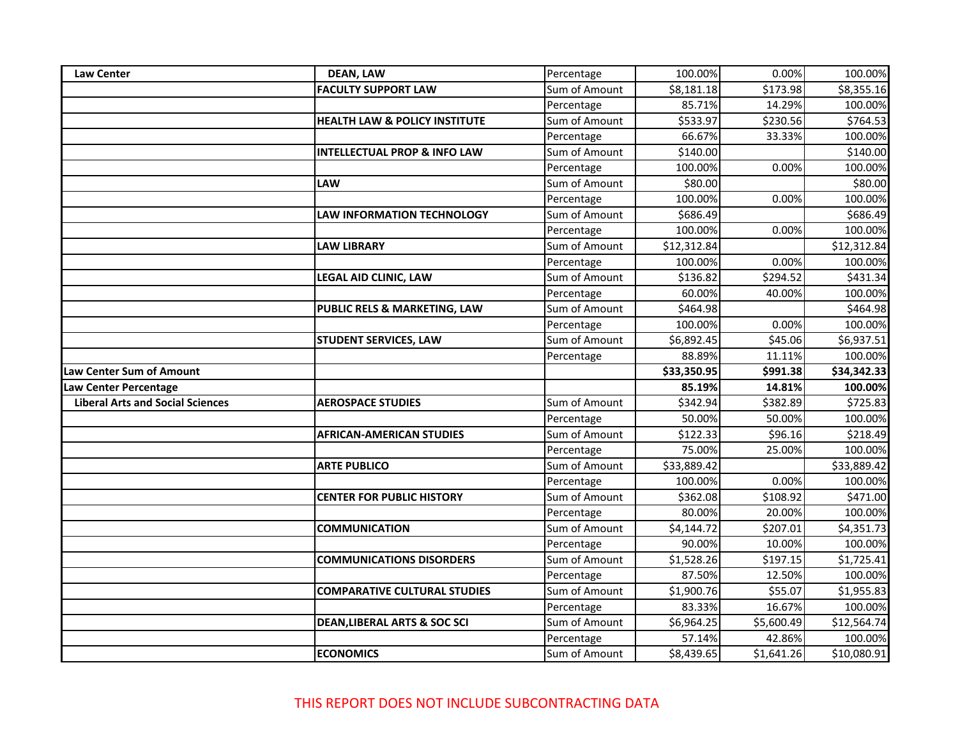| <b>Law Center</b>                       | <b>DEAN, LAW</b>                         | Percentage                  | 100.00%              | 0.00%                | 100.00%                |
|-----------------------------------------|------------------------------------------|-----------------------------|----------------------|----------------------|------------------------|
|                                         | <b>FACULTY SUPPORT LAW</b>               | Sum of Amount               | \$8,181.18           | \$173.98             | \$8,355.16             |
|                                         |                                          | Percentage                  | 85.71%               | 14.29%               | 100.00%                |
|                                         | <b>HEALTH LAW &amp; POLICY INSTITUTE</b> | Sum of Amount               | \$533.97             | \$230.56             | \$764.53               |
|                                         |                                          | Percentage                  | 66.67%               | 33.33%               | 100.00%                |
|                                         | <b>INTELLECTUAL PROP &amp; INFO LAW</b>  | Sum of Amount               | \$140.00             |                      | \$140.00               |
|                                         |                                          | Percentage                  | 100.00%              | 0.00%                | 100.00%                |
|                                         | LAW                                      | Sum of Amount               | \$80.00              |                      | \$80.00                |
|                                         |                                          | Percentage                  | 100.00%              | 0.00%                | 100.00%                |
|                                         | <b>LAW INFORMATION TECHNOLOGY</b>        | Sum of Amount               | \$686.49             |                      | \$686.49               |
|                                         |                                          | Percentage                  | 100.00%              | 0.00%                | 100.00%                |
|                                         | <b>LAW LIBRARY</b>                       | Sum of Amount               | \$12,312.84          |                      | \$12,312.84            |
|                                         |                                          | Percentage                  | 100.00%              | 0.00%                | 100.00%                |
|                                         | <b>LEGAL AID CLINIC, LAW</b>             | Sum of Amount               | \$136.82             | \$294.52             | \$431.34               |
|                                         |                                          | Percentage                  | 60.00%               | 40.00%               | 100.00%                |
|                                         | PUBLIC RELS & MARKETING, LAW             | Sum of Amount               | \$464.98             |                      | \$464.98               |
|                                         |                                          | Percentage                  | 100.00%              | 0.00%                | 100.00%                |
|                                         | <b>STUDENT SERVICES, LAW</b>             | Sum of Amount               | \$6,892.45           | \$45.06              | \$6,937.51             |
|                                         |                                          | Percentage                  | 88.89%               | 11.11%               | 100.00%                |
|                                         |                                          |                             |                      |                      |                        |
| Law Center Sum of Amount                |                                          |                             | \$33,350.95          | \$991.38             | \$34,342.33            |
| Law Center Percentage                   |                                          |                             | 85.19%               | 14.81%               | 100.00%                |
| <b>Liberal Arts and Social Sciences</b> | <b>AEROSPACE STUDIES</b>                 | Sum of Amount               | \$342.94             | \$382.89             | \$725.83               |
|                                         |                                          | Percentage                  | 50.00%               | 50.00%               | 100.00%                |
|                                         | <b>AFRICAN-AMERICAN STUDIES</b>          | Sum of Amount               | \$122.33             | \$96.16              | \$218.49               |
|                                         |                                          | Percentage                  | 75.00%               | 25.00%               | 100.00%                |
|                                         | <b>ARTE PUBLICO</b>                      | Sum of Amount               | \$33,889.42          |                      | \$33,889.42            |
|                                         |                                          | Percentage                  | 100.00%              | 0.00%                | 100.00%                |
|                                         | <b>CENTER FOR PUBLIC HISTORY</b>         | Sum of Amount               | \$362.08             | \$108.92             | \$471.00               |
|                                         |                                          | Percentage                  | 80.00%               | 20.00%               | 100.00%                |
|                                         | <b>COMMUNICATION</b>                     | Sum of Amount               | \$4,144.72           | \$207.01             | \$4,351.73             |
|                                         |                                          | Percentage                  | 90.00%               | 10.00%               | 100.00%                |
|                                         | <b>COMMUNICATIONS DISORDERS</b>          | Sum of Amount               | \$1,528.26           | \$197.15             | \$1,725.41             |
|                                         |                                          | Percentage                  | 87.50%               | 12.50%               | 100.00%                |
|                                         | <b>COMPARATIVE CULTURAL STUDIES</b>      | Sum of Amount               | \$1,900.76           | \$55.07              | \$1,955.83             |
|                                         |                                          | Percentage                  | 83.33%               | 16.67%               | 100.00%                |
|                                         | <b>DEAN, LIBERAL ARTS &amp; SOC SCI</b>  | Sum of Amount               | \$6,964.25           | \$5,600.49           | \$12,564.74            |
|                                         |                                          | Percentage<br>Sum of Amount | 57.14%<br>\$8,439.65 | 42.86%<br>\$1,641.26 | 100.00%<br>\$10,080.91 |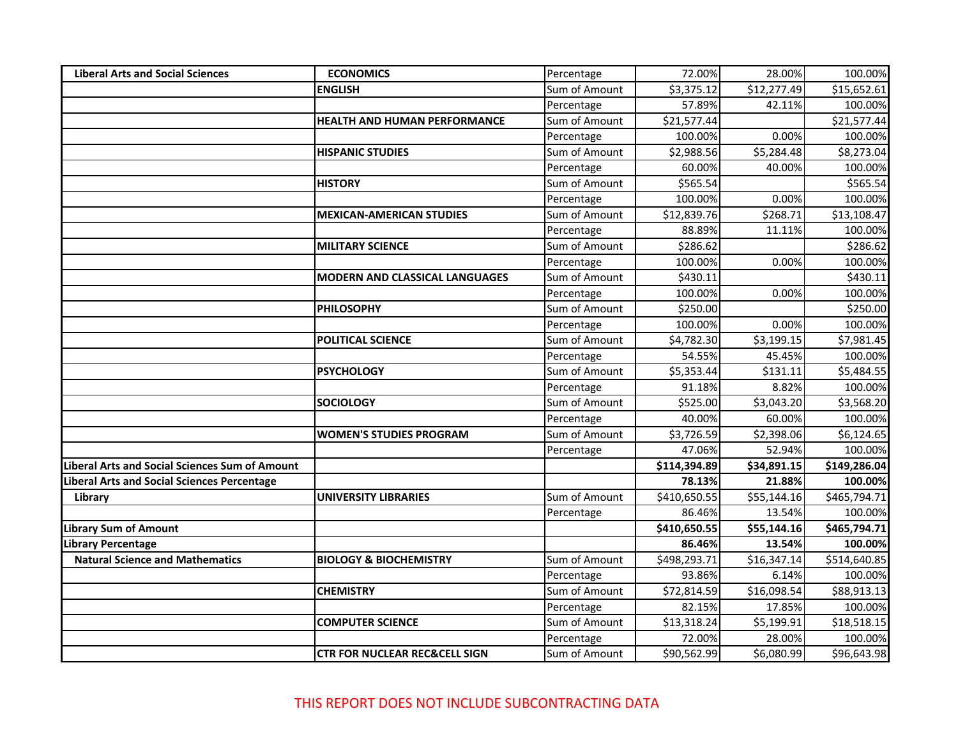| <b>Liberal Arts and Social Sciences</b>               | <b>ECONOMICS</b>                         | Percentage    | 72.00%       | 28.00%      | 100.00%      |
|-------------------------------------------------------|------------------------------------------|---------------|--------------|-------------|--------------|
|                                                       | <b>ENGLISH</b>                           | Sum of Amount | \$3,375.12   | \$12,277.49 | \$15,652.61  |
|                                                       |                                          | Percentage    | 57.89%       | 42.11%      | 100.00%      |
|                                                       | <b>HEALTH AND HUMAN PERFORMANCE</b>      | Sum of Amount | \$21,577.44  |             | \$21,577.44  |
|                                                       |                                          | Percentage    | 100.00%      | 0.00%       | 100.00%      |
|                                                       | <b>HISPANIC STUDIES</b>                  | Sum of Amount | \$2,988.56   | \$5,284.48  | \$8,273.04   |
|                                                       |                                          | Percentage    | 60.00%       | 40.00%      | 100.00%      |
|                                                       | <b>HISTORY</b>                           | Sum of Amount | \$565.54     |             | \$565.54     |
|                                                       |                                          | Percentage    | 100.00%      | 0.00%       | 100.00%      |
|                                                       | <b>MEXICAN-AMERICAN STUDIES</b>          | Sum of Amount | \$12,839.76  | \$268.71    | \$13,108.47  |
|                                                       |                                          | Percentage    | 88.89%       | 11.11%      | 100.00%      |
|                                                       | <b>MILITARY SCIENCE</b>                  | Sum of Amount | \$286.62     |             | \$286.62     |
|                                                       |                                          | Percentage    | 100.00%      | 0.00%       | 100.00%      |
|                                                       | <b>MODERN AND CLASSICAL LANGUAGES</b>    | Sum of Amount | \$430.11     |             | \$430.11     |
|                                                       |                                          | Percentage    | 100.00%      | 0.00%       | 100.00%      |
|                                                       | <b>PHILOSOPHY</b>                        | Sum of Amount | \$250.00     |             | \$250.00     |
|                                                       |                                          | Percentage    | 100.00%      | 0.00%       | 100.00%      |
|                                                       | <b>POLITICAL SCIENCE</b>                 | Sum of Amount | \$4,782.30   | \$3,199.15  | \$7,981.45   |
|                                                       |                                          | Percentage    | 54.55%       | 45.45%      | 100.00%      |
|                                                       | <b>PSYCHOLOGY</b>                        | Sum of Amount | \$5,353.44   | \$131.11    | \$5,484.55   |
|                                                       |                                          | Percentage    | 91.18%       | 8.82%       | 100.00%      |
|                                                       | <b>SOCIOLOGY</b>                         | Sum of Amount | \$525.00     | \$3,043.20  | \$3,568.20   |
|                                                       |                                          | Percentage    | 40.00%       | 60.00%      | 100.00%      |
|                                                       | <b>WOMEN'S STUDIES PROGRAM</b>           | Sum of Amount | \$3,726.59   | \$2,398.06  | \$6,124.65   |
|                                                       |                                          | Percentage    | 47.06%       | 52.94%      | 100.00%      |
| <b>Liberal Arts and Social Sciences Sum of Amount</b> |                                          |               | \$114,394.89 | \$34,891.15 | \$149,286.04 |
| <b>Liberal Arts and Social Sciences Percentage</b>    |                                          |               | 78.13%       | 21.88%      | 100.00%      |
| Library                                               | UNIVERSITY LIBRARIES                     | Sum of Amount | \$410,650.55 | \$55,144.16 | \$465,794.71 |
|                                                       |                                          | Percentage    | 86.46%       | 13.54%      | 100.00%      |
| <b>Library Sum of Amount</b>                          |                                          |               | \$410,650.55 | \$55,144.16 | \$465,794.71 |
| <b>Library Percentage</b>                             |                                          |               | 86.46%       | 13.54%      | 100.00%      |
| <b>Natural Science and Mathematics</b>                | <b>BIOLOGY &amp; BIOCHEMISTRY</b>        | Sum of Amount | \$498,293.71 | \$16,347.14 | \$514,640.85 |
|                                                       |                                          | Percentage    | 93.86%       | 6.14%       | 100.00%      |
|                                                       | <b>CHEMISTRY</b>                         | Sum of Amount | \$72,814.59  | \$16,098.54 | \$88,913.13  |
|                                                       |                                          | Percentage    | 82.15%       | 17.85%      | 100.00%      |
|                                                       | <b>COMPUTER SCIENCE</b>                  | Sum of Amount | \$13,318.24  | \$5,199.91  | \$18,518.15  |
|                                                       |                                          | Percentage    | 72.00%       | 28.00%      | 100.00%      |
|                                                       | <b>CTR FOR NUCLEAR REC&amp;CELL SIGN</b> | Sum of Amount | \$90,562.99  | \$6,080.99  | \$96,643.98  |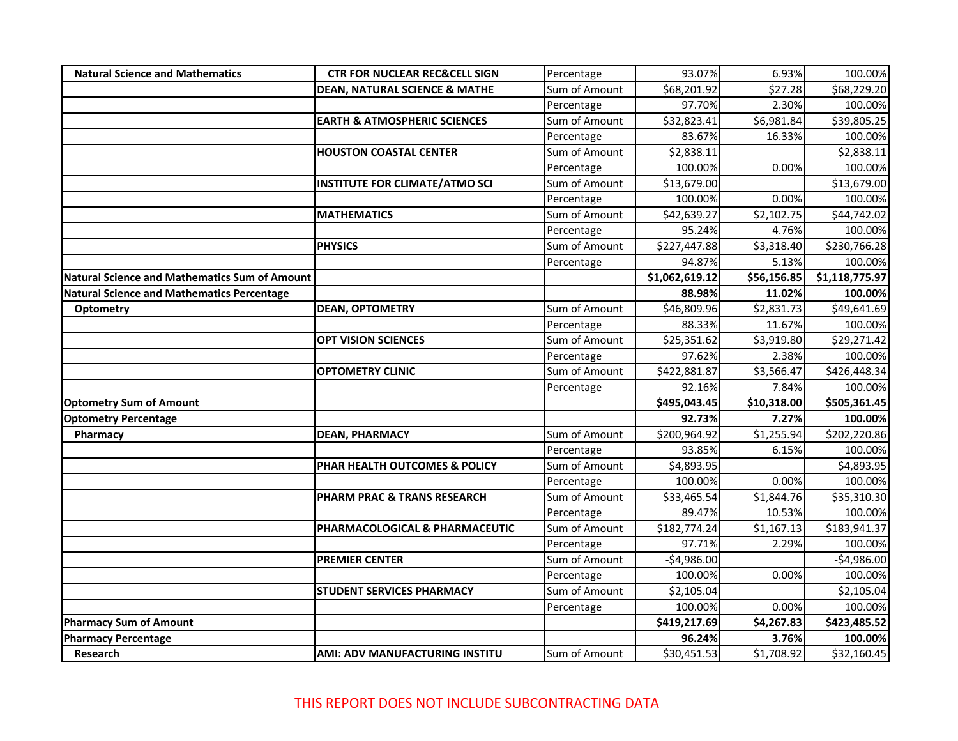| <b>Natural Science and Mathematics</b>               | <b>CTR FOR NUCLEAR REC&amp;CELL SIGN</b> | Percentage    | 93.07%                  | 6.93%       | 100.00%        |
|------------------------------------------------------|------------------------------------------|---------------|-------------------------|-------------|----------------|
|                                                      | <b>DEAN, NATURAL SCIENCE &amp; MATHE</b> | Sum of Amount | \$68,201.92             | \$27.28     | \$68,229.20    |
|                                                      |                                          | Percentage    | 97.70%                  | 2.30%       | 100.00%        |
|                                                      | <b>EARTH &amp; ATMOSPHERIC SCIENCES</b>  | Sum of Amount | \$32,823.41             | \$6,981.84  | \$39,805.25    |
|                                                      |                                          | Percentage    | 83.67%                  | 16.33%      | 100.00%        |
|                                                      | <b>HOUSTON COASTAL CENTER</b>            | Sum of Amount | \$2,838.11              |             | \$2,838.11     |
|                                                      |                                          | Percentage    | 100.00%                 | 0.00%       | 100.00%        |
|                                                      | <b>INSTITUTE FOR CLIMATE/ATMO SCI</b>    | Sum of Amount | \$13,679.00             |             | \$13,679.00    |
|                                                      |                                          | Percentage    | 100.00%                 | 0.00%       | 100.00%        |
|                                                      | <b>MATHEMATICS</b>                       | Sum of Amount | \$42,639.27             | \$2,102.75  | \$44,742.02    |
|                                                      |                                          | Percentage    | 95.24%                  | 4.76%       | 100.00%        |
|                                                      | <b>PHYSICS</b>                           | Sum of Amount | \$227,447.88            | \$3,318.40  | \$230,766.28   |
|                                                      |                                          | Percentage    | 94.87%                  | 5.13%       | 100.00%        |
| <b>Natural Science and Mathematics Sum of Amount</b> |                                          |               | \$1,062,619.12          | \$56,156.85 | \$1,118,775.97 |
| <b>Natural Science and Mathematics Percentage</b>    |                                          |               | 88.98%                  | 11.02%      | 100.00%        |
| <b>Optometry</b>                                     | <b>DEAN, OPTOMETRY</b>                   | Sum of Amount | $\overline{$}46,809.96$ | \$2,831.73  | \$49,641.69    |
|                                                      |                                          | Percentage    | 88.33%                  | 11.67%      | 100.00%        |
|                                                      | <b>OPT VISION SCIENCES</b>               | Sum of Amount | \$25,351.62             | \$3,919.80  | \$29,271.42    |
|                                                      |                                          | Percentage    | 97.62%                  | 2.38%       | 100.00%        |
|                                                      | <b>OPTOMETRY CLINIC</b>                  | Sum of Amount | \$422,881.87            | \$3,566.47  | \$426,448.34   |
|                                                      |                                          | Percentage    | 92.16%                  | 7.84%       | 100.00%        |
| <b>Optometry Sum of Amount</b>                       |                                          |               | \$495,043.45            | \$10,318.00 | \$505,361.45   |
| <b>Optometry Percentage</b>                          |                                          |               | 92.73%                  | 7.27%       | 100.00%        |
| Pharmacy                                             | <b>DEAN, PHARMACY</b>                    | Sum of Amount | \$200,964.92            | \$1,255.94  | \$202,220.86   |
|                                                      |                                          | Percentage    | 93.85%                  | 6.15%       | 100.00%        |
|                                                      | PHAR HEALTH OUTCOMES & POLICY            | Sum of Amount | \$4,893.95              |             | \$4,893.95     |
|                                                      |                                          | Percentage    | 100.00%                 | 0.00%       | 100.00%        |
|                                                      | PHARM PRAC & TRANS RESEARCH              | Sum of Amount | \$33,465.54             | \$1,844.76  | \$35,310.30    |
|                                                      |                                          | Percentage    | 89.47%                  | 10.53%      | 100.00%        |
|                                                      | PHARMACOLOGICAL & PHARMACEUTIC           | Sum of Amount | \$182,774.24            | \$1,167.13  | \$183,941.37   |
|                                                      |                                          | Percentage    | 97.71%                  | 2.29%       | 100.00%        |
|                                                      | <b>PREMIER CENTER</b>                    | Sum of Amount | $-$4,986.00$            |             | $-$4,986.00$   |
|                                                      |                                          | Percentage    | 100.00%                 | 0.00%       | 100.00%        |
|                                                      | <b>STUDENT SERVICES PHARMACY</b>         | Sum of Amount | \$2,105.04              |             | \$2,105.04     |
|                                                      |                                          | Percentage    | 100.00%                 | 0.00%       | 100.00%        |
| <b>Pharmacy Sum of Amount</b>                        |                                          |               | \$419,217.69            | \$4,267.83  | \$423,485.52   |
| <b>Pharmacy Percentage</b>                           |                                          |               | 96.24%                  | 3.76%       | 100.00%        |
| Research                                             | AMI: ADV MANUFACTURING INSTITU           | Sum of Amount | \$30,451.53             | \$1,708.92  | \$32,160.45    |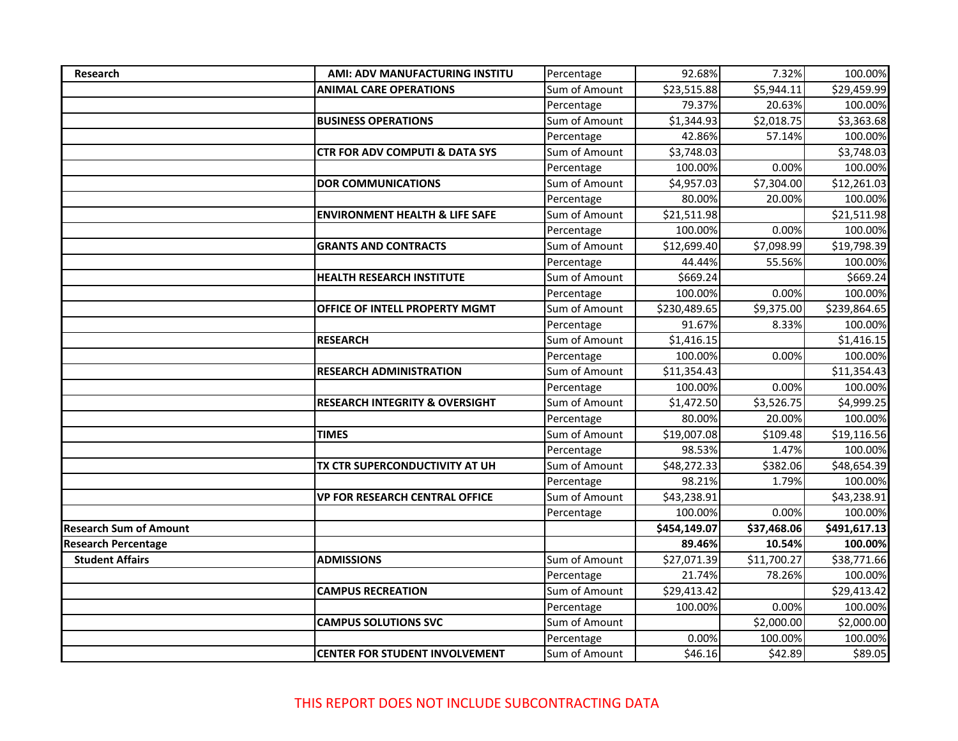| Research                      | AMI: ADV MANUFACTURING INSTITU            | Percentage    | 92.68%       | 7.32%       | 100.00%      |
|-------------------------------|-------------------------------------------|---------------|--------------|-------------|--------------|
|                               | <b>ANIMAL CARE OPERATIONS</b>             | Sum of Amount | \$23,515.88  | \$5,944.11  | \$29,459.99  |
|                               |                                           | Percentage    | 79.37%       | 20.63%      | 100.00%      |
|                               | <b>BUSINESS OPERATIONS</b>                | Sum of Amount | \$1,344.93   | \$2,018.75  | \$3,363.68   |
|                               |                                           | Percentage    | 42.86%       | 57.14%      | 100.00%      |
|                               | CTR FOR ADV COMPUTI & DATA SYS            | Sum of Amount | \$3,748.03   |             | \$3,748.03   |
|                               |                                           | Percentage    | 100.00%      | 0.00%       | 100.00%      |
|                               | <b>DOR COMMUNICATIONS</b>                 | Sum of Amount | \$4,957.03   | \$7,304.00  | \$12,261.03  |
|                               |                                           | Percentage    | 80.00%       | 20.00%      | 100.00%      |
|                               | <b>ENVIRONMENT HEALTH &amp; LIFE SAFE</b> | Sum of Amount | \$21,511.98  |             | \$21,511.98  |
|                               |                                           | Percentage    | 100.00%      | 0.00%       | 100.00%      |
|                               | <b>GRANTS AND CONTRACTS</b>               | Sum of Amount | \$12,699.40  | \$7,098.99  | \$19,798.39  |
|                               |                                           | Percentage    | 44.44%       | 55.56%      | 100.00%      |
|                               | <b>HEALTH RESEARCH INSTITUTE</b>          | Sum of Amount | \$669.24     |             | \$669.24     |
|                               |                                           | Percentage    | 100.00%      | 0.00%       | 100.00%      |
|                               | OFFICE OF INTELL PROPERTY MGMT            | Sum of Amount | \$230,489.65 | \$9,375.00  | \$239,864.65 |
|                               |                                           | Percentage    | 91.67%       | 8.33%       | 100.00%      |
|                               | <b>RESEARCH</b>                           | Sum of Amount | \$1,416.15   |             | \$1,416.15   |
|                               |                                           | Percentage    | 100.00%      | 0.00%       | 100.00%      |
|                               | <b>RESEARCH ADMINISTRATION</b>            | Sum of Amount | \$11,354.43  |             | \$11,354.43  |
|                               |                                           | Percentage    | 100.00%      | 0.00%       | 100.00%      |
|                               | <b>RESEARCH INTEGRITY &amp; OVERSIGHT</b> | Sum of Amount | \$1,472.50   | \$3,526.75  | \$4,999.25   |
|                               |                                           | Percentage    | 80.00%       | 20.00%      | 100.00%      |
|                               | <b>TIMES</b>                              | Sum of Amount | \$19,007.08  | \$109.48    | \$19,116.56  |
|                               |                                           | Percentage    | 98.53%       | 1.47%       | 100.00%      |
|                               | TX CTR SUPERCONDUCTIVITY AT UH            | Sum of Amount | \$48,272.33  | \$382.06    | \$48,654.39  |
|                               |                                           | Percentage    | 98.21%       | 1.79%       | 100.00%      |
|                               | <b>VP FOR RESEARCH CENTRAL OFFICE</b>     | Sum of Amount | \$43,238.91  |             | \$43,238.91  |
|                               |                                           | Percentage    | 100.00%      | 0.00%       | 100.00%      |
| <b>Research Sum of Amount</b> |                                           |               | \$454,149.07 | \$37,468.06 | \$491,617.13 |
| <b>Research Percentage</b>    |                                           |               | 89.46%       | 10.54%      | 100.00%      |
| <b>Student Affairs</b>        | <b>ADMISSIONS</b>                         | Sum of Amount | \$27,071.39  | \$11,700.27 | \$38,771.66  |
|                               |                                           | Percentage    | 21.74%       | 78.26%      | 100.00%      |
|                               | <b>CAMPUS RECREATION</b>                  | Sum of Amount | \$29,413.42  |             | \$29,413.42  |
|                               |                                           | Percentage    | 100.00%      | 0.00%       | 100.00%      |
|                               | <b>CAMPUS SOLUTIONS SVC</b>               | Sum of Amount |              | \$2,000.00  | \$2,000.00   |
|                               |                                           | Percentage    | 0.00%        | 100.00%     | 100.00%      |
|                               | <b>CENTER FOR STUDENT INVOLVEMENT</b>     | Sum of Amount | \$46.16      | \$42.89     | \$89.05      |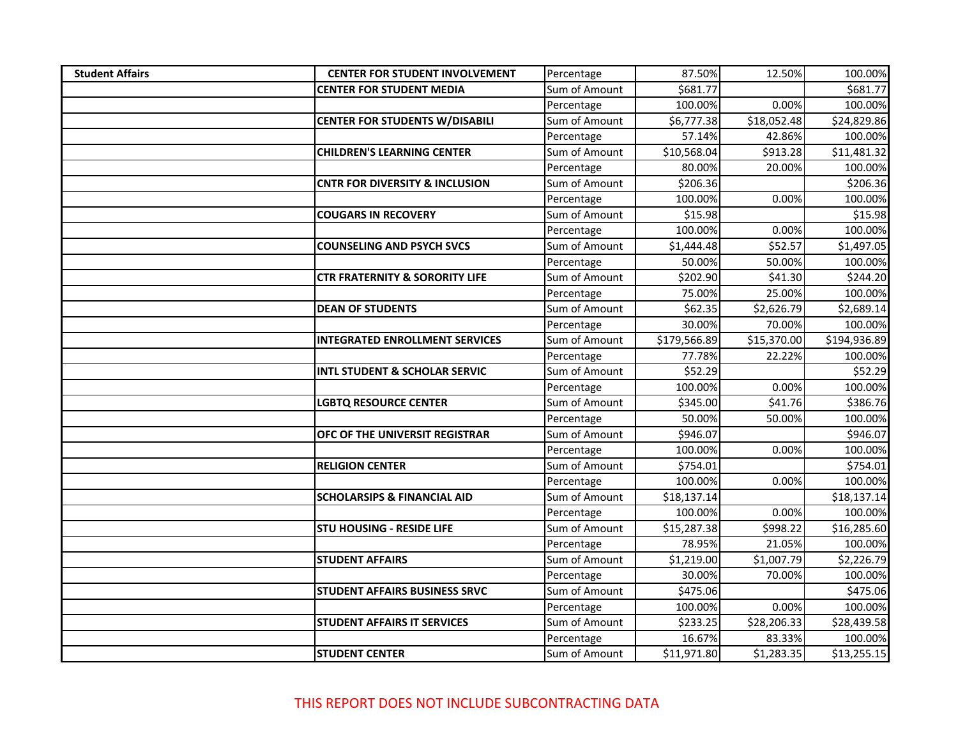| <b>Student Affairs</b> | <b>CENTER FOR STUDENT INVOLVEMENT</b>     | Percentage    | 87.50%       | 12.50%      | 100.00%      |
|------------------------|-------------------------------------------|---------------|--------------|-------------|--------------|
|                        | <b>CENTER FOR STUDENT MEDIA</b>           | Sum of Amount | \$681.77     |             | \$681.77     |
|                        |                                           | Percentage    | 100.00%      | 0.00%       | 100.00%      |
|                        | <b>CENTER FOR STUDENTS W/DISABILI</b>     | Sum of Amount | \$6,777.38   | \$18,052.48 | \$24,829.86  |
|                        |                                           | Percentage    | 57.14%       | 42.86%      | 100.00%      |
|                        | <b>CHILDREN'S LEARNING CENTER</b>         | Sum of Amount | \$10,568.04  | \$913.28    | \$11,481.32  |
|                        |                                           | Percentage    | 80.00%       | 20.00%      | 100.00%      |
|                        | <b>CNTR FOR DIVERSITY &amp; INCLUSION</b> | Sum of Amount | \$206.36     |             | \$206.36     |
|                        |                                           | Percentage    | 100.00%      | 0.00%       | 100.00%      |
|                        | <b>COUGARS IN RECOVERY</b>                | Sum of Amount | \$15.98      |             | \$15.98      |
|                        |                                           | Percentage    | 100.00%      | 0.00%       | 100.00%      |
|                        | <b>COUNSELING AND PSYCH SVCS</b>          | Sum of Amount | \$1,444.48   | \$52.57     | \$1,497.05   |
|                        |                                           | Percentage    | 50.00%       | 50.00%      | 100.00%      |
|                        | <b>CTR FRATERNITY &amp; SORORITY LIFE</b> | Sum of Amount | \$202.90     | \$41.30     | \$244.20     |
|                        |                                           | Percentage    | 75.00%       | 25.00%      | 100.00%      |
|                        | <b>DEAN OF STUDENTS</b>                   | Sum of Amount | \$62.35      | \$2,626.79  | \$2,689.14   |
|                        |                                           | Percentage    | 30.00%       | 70.00%      | 100.00%      |
|                        | <b>INTEGRATED ENROLLMENT SERVICES</b>     | Sum of Amount | \$179,566.89 | \$15,370.00 | \$194,936.89 |
|                        |                                           | Percentage    | 77.78%       | 22.22%      | 100.00%      |
|                        | <b>INTL STUDENT &amp; SCHOLAR SERVIC</b>  | Sum of Amount | \$52.29      |             | \$52.29      |
|                        |                                           | Percentage    | 100.00%      | 0.00%       | 100.00%      |
|                        | <b>LGBTQ RESOURCE CENTER</b>              | Sum of Amount | \$345.00     | \$41.76     | \$386.76     |
|                        |                                           | Percentage    | 50.00%       | 50.00%      | 100.00%      |
|                        | <b>OFC OF THE UNIVERSIT REGISTRAR</b>     | Sum of Amount | \$946.07     |             | \$946.07     |
|                        |                                           | Percentage    | 100.00%      | 0.00%       | 100.00%      |
|                        | <b>RELIGION CENTER</b>                    | Sum of Amount | \$754.01     |             | \$754.01     |
|                        |                                           | Percentage    | 100.00%      | 0.00%       | 100.00%      |
|                        | <b>SCHOLARSIPS &amp; FINANCIAL AID</b>    | Sum of Amount | \$18,137.14  |             | \$18,137.14  |
|                        |                                           | Percentage    | 100.00%      | 0.00%       | 100.00%      |
|                        | <b>STU HOUSING - RESIDE LIFE</b>          | Sum of Amount | \$15,287.38  | \$998.22    | \$16,285.60  |
|                        |                                           | Percentage    | 78.95%       | 21.05%      | 100.00%      |
|                        | <b>STUDENT AFFAIRS</b>                    | Sum of Amount | \$1,219.00   | \$1,007.79  | \$2,226.79   |
|                        |                                           | Percentage    | 30.00%       | 70.00%      | 100.00%      |
|                        | <b>STUDENT AFFAIRS BUSINESS SRVC</b>      | Sum of Amount | \$475.06     |             | \$475.06     |
|                        |                                           | Percentage    | 100.00%      | 0.00%       | 100.00%      |
|                        | <b>STUDENT AFFAIRS IT SERVICES</b>        | Sum of Amount | \$233.25     | \$28,206.33 | \$28,439.58  |
|                        |                                           | Percentage    | 16.67%       | 83.33%      | 100.00%      |
|                        | <b>STUDENT CENTER</b>                     | Sum of Amount | \$11,971.80  | \$1,283.35  | \$13,255.15  |

THIS REPORT DOES NOT INCLUDE SUBCONTRACTING DATA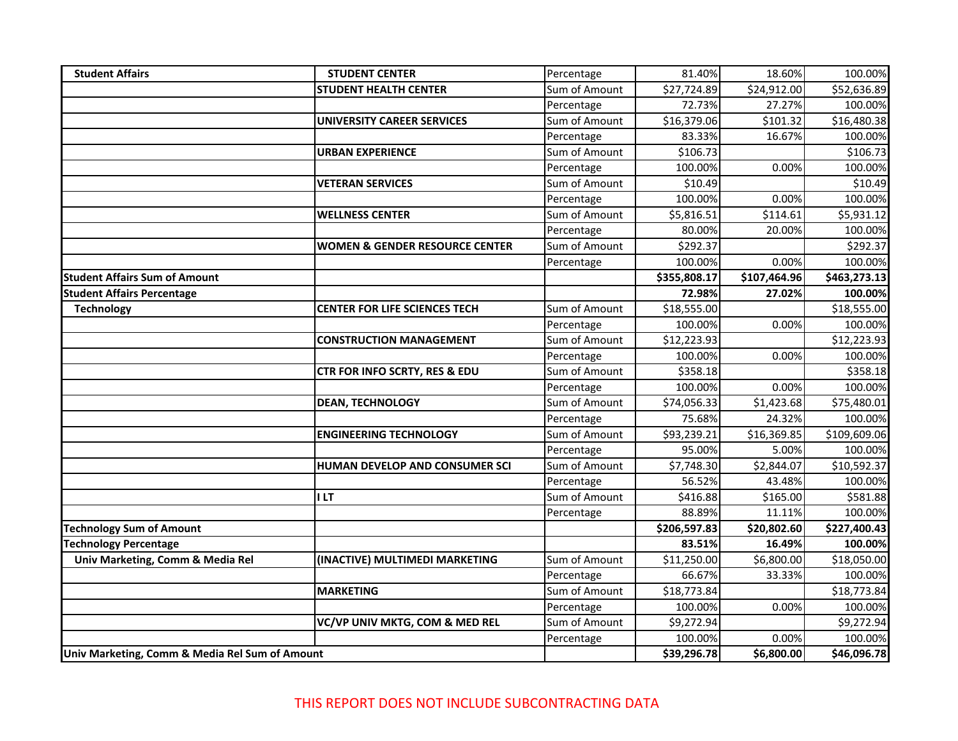| <b>Student Affairs</b>                         | <b>STUDENT CENTER</b>                     | Percentage    | 81.40%               | 18.60%       | 100.00%      |
|------------------------------------------------|-------------------------------------------|---------------|----------------------|--------------|--------------|
|                                                | <b>STUDENT HEALTH CENTER</b>              | Sum of Amount | \$27,724.89          | \$24,912.00  | \$52,636.89  |
|                                                |                                           | Percentage    | 72.73%               | 27.27%       | 100.00%      |
|                                                | <b>UNIVERSITY CAREER SERVICES</b>         | Sum of Amount | \$16,379.06          | \$101.32     | \$16,480.38  |
|                                                |                                           | Percentage    | 83.33%               | 16.67%       | 100.00%      |
|                                                | <b>URBAN EXPERIENCE</b>                   | Sum of Amount | \$106.73             |              | \$106.73     |
|                                                |                                           | Percentage    | 100.00%              | 0.00%        | 100.00%      |
|                                                | <b>VETERAN SERVICES</b>                   | Sum of Amount | \$10.49              |              | \$10.49      |
|                                                |                                           | Percentage    | 100.00%              | 0.00%        | 100.00%      |
|                                                | <b>WELLNESS CENTER</b>                    | Sum of Amount | \$5,816.51           | \$114.61     | \$5,931.12   |
|                                                |                                           | Percentage    | 80.00%               | 20.00%       | 100.00%      |
|                                                | <b>WOMEN &amp; GENDER RESOURCE CENTER</b> | Sum of Amount | $\overline{$}292.37$ |              | \$292.37     |
|                                                |                                           | Percentage    | 100.00%              | 0.00%        | 100.00%      |
| <b>Student Affairs Sum of Amount</b>           |                                           |               | \$355,808.17         | \$107,464.96 | \$463,273.13 |
| <b>Student Affairs Percentage</b>              |                                           |               | 72.98%               | 27.02%       | 100.00%      |
| <b>Technology</b>                              | <b>CENTER FOR LIFE SCIENCES TECH</b>      | Sum of Amount | \$18,555.00          |              | \$18,555.00  |
|                                                |                                           | Percentage    | 100.00%              | 0.00%        | 100.00%      |
|                                                | <b>CONSTRUCTION MANAGEMENT</b>            | Sum of Amount | \$12,223.93          |              | \$12,223.93  |
|                                                |                                           | Percentage    | 100.00%              | 0.00%        | 100.00%      |
|                                                | CTR FOR INFO SCRTY, RES & EDU             | Sum of Amount | \$358.18             |              | \$358.18     |
|                                                |                                           | Percentage    | 100.00%              | 0.00%        | 100.00%      |
|                                                | <b>DEAN, TECHNOLOGY</b>                   | Sum of Amount | \$74,056.33          | \$1,423.68   | \$75,480.01  |
|                                                |                                           | Percentage    | 75.68%               | 24.32%       | 100.00%      |
|                                                | <b>ENGINEERING TECHNOLOGY</b>             | Sum of Amount | \$93,239.21          | \$16,369.85  | \$109,609.06 |
|                                                |                                           | Percentage    | 95.00%               | 5.00%        | 100.00%      |
|                                                | HUMAN DEVELOP AND CONSUMER SCI            | Sum of Amount | \$7,748.30           | \$2,844.07   | \$10,592.37  |
|                                                |                                           | Percentage    | 56.52%               | 43.48%       | 100.00%      |
|                                                | I LT                                      | Sum of Amount | \$416.88             | \$165.00     | \$581.88     |
|                                                |                                           | Percentage    | 88.89%               | 11.11%       | 100.00%      |
| <b>Technology Sum of Amount</b>                |                                           |               | \$206,597.83         | \$20,802.60  | \$227,400.43 |
| <b>Technology Percentage</b>                   |                                           |               | 83.51%               | 16.49%       | 100.00%      |
| Univ Marketing, Comm & Media Rel               | (INACTIVE) MULTIMEDI MARKETING            | Sum of Amount | \$11,250.00          | \$6,800.00   | \$18,050.00  |
|                                                |                                           | Percentage    | 66.67%               | 33.33%       | 100.00%      |
|                                                | <b>MARKETING</b>                          | Sum of Amount | \$18,773.84          |              | \$18,773.84  |
|                                                |                                           | Percentage    | 100.00%              | 0.00%        | 100.00%      |
|                                                | VC/VP UNIV MKTG, COM & MED REL            | Sum of Amount | \$9,272.94           |              | \$9,272.94   |
|                                                |                                           | Percentage    | 100.00%              | 0.00%        | 100.00%      |
| Univ Marketing, Comm & Media Rel Sum of Amount |                                           |               | \$39,296.78          | \$6,800.00   | \$46,096.78  |